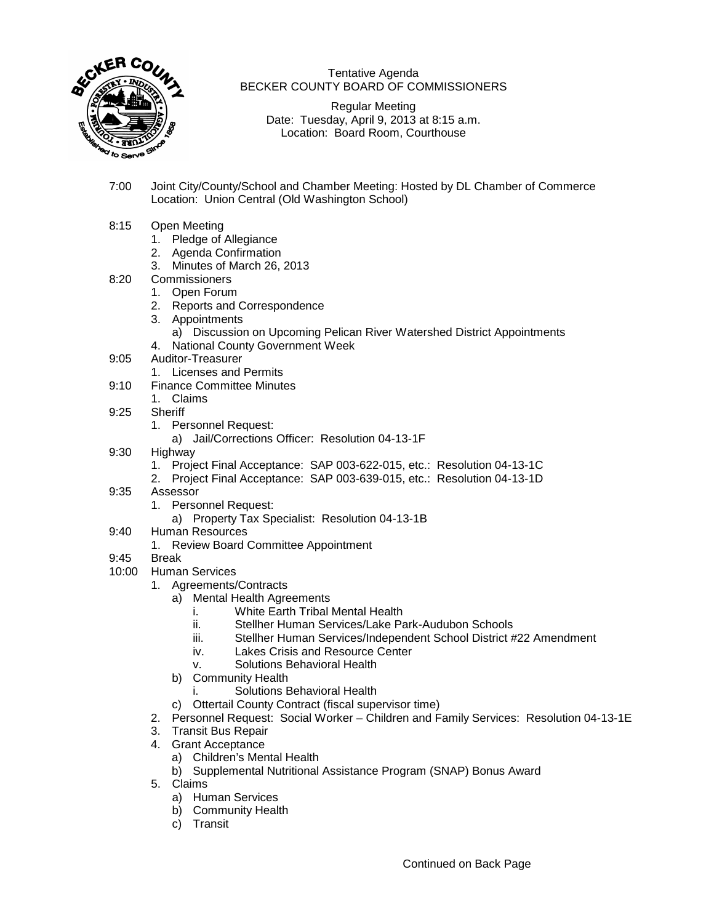

## Tentative Agenda BECKER COUNTY BOARD OF COMMISSIONERS

Regular Meeting Date: Tuesday, April 9, 2013 at 8:15 a.m. Location: Board Room, Courthouse

7:00 Joint City/County/School and Chamber Meeting: Hosted by DL Chamber of Commerce Location: Union Central (Old Washington School)

## 8:15 Open Meeting

- 1. Pledge of Allegiance
- 2. Agenda Confirmation
- 3. Minutes of March 26, 2013
- 8:20 Commissioners
	- 1. Open Forum
	- 2. Reports and Correspondence
	- 3. Appointments
		- a) Discussion on Upcoming Pelican River Watershed District Appointments
	- 4. National County Government Week
- 9:05 Auditor-Treasurer
	- 1. Licenses and Permits
- 9:10 Finance Committee Minutes
	- 1. Claims
- 9:25 Sheriff
	- 1. Personnel Request:
		- a) Jail/Corrections Officer: Resolution 04-13-1F
- 9:30 Highway
	- 1. Project Final Acceptance: SAP 003-622-015, etc.: Resolution 04-13-1C
	- 2. Project Final Acceptance: SAP 003-639-015, etc.: Resolution 04-13-1D
- 9:35 Assessor
	- 1. Personnel Request:
		- a) Property Tax Specialist: Resolution 04-13-1B
- 9:40 Human Resources
	- 1. Review Board Committee Appointment
- 9:45 Break
- 10:00 Human Services
	- 1. Agreements/Contracts
		- a) Mental Health Agreements
			- i. White Earth Tribal Mental Health
			- ii. Stellher Human Services/Lake Park-Audubon Schools
			- iii. Stellher Human Services/Independent School District #22 Amendment
			- iv. Lakes Crisis and Resource Center
			- v. Solutions Behavioral Health
			- b) Community Health
				- i. Solutions Behavioral Health
			- c) Ottertail County Contract (fiscal supervisor time)
	- 2. Personnel Request: Social Worker Children and Family Services: Resolution 04-13-1E
	- 3. Transit Bus Repair
	- 4. Grant Acceptance
		- a) Children's Mental Health
		- b) Supplemental Nutritional Assistance Program (SNAP) Bonus Award
	- 5. Claims
		- a) Human Services
		- b) Community Health
		- c) Transit